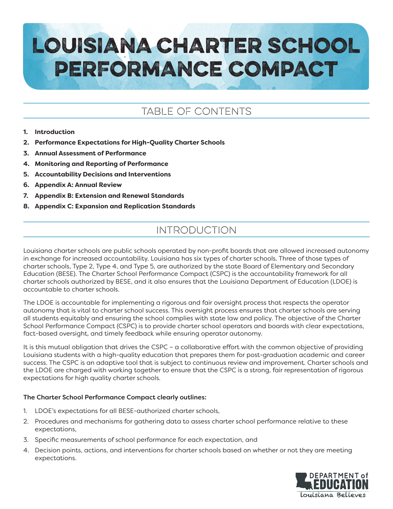# LOUISIANA CHARTER SCHOOL PERFORMANCE COMPACT

# TABLE OF CONTENTS

#### **1. Introduction**

- **2. Performance Expectations for High-Quality Charter Schools**
- **3. Annual Assessment of Performance**
- **4. Monitoring and Reporting of Performance**
- **5. Accountability Decisions and Interventions**
- **6. Appendix A: Annual Review**
- **7. Appendix B: Extension and Renewal Standards**
- **8. Appendix C: Expansion and Replication Standards**

# INTRODUCTION

Louisiana charter schools are public schools operated by non-profit boards that are allowed increased autonomy in exchange for increased accountability. Louisiana has six types of charter schools. Three of those types of charter schools, Type 2, Type 4, and Type 5, are authorized by the state Board of Elementary and Secondary Education (BESE). The Charter School Performance Compact (CSPC) is the accountability framework for all charter schools authorized by BESE, and it also ensures that the Louisiana Department of Education (LDOE) is accountable to charter schools.

The LDOE is accountable for implementing a rigorous and fair oversight process that respects the operator autonomy that is vital to charter school success. This oversight process ensures that charter schools are serving all students equitably and ensuring the school complies with state law and policy. The objective of the Charter School Performance Compact (CSPC) is to provide charter school operators and boards with clear expectations, fact-based oversight, and timely feedback while ensuring operator autonomy.

It is this mutual obligation that drives the CSPC - a collaborative effort with the common objective of providing Louisiana students with a high-quality education that prepares them for post-graduation academic and career success. The CSPC is an adaptive tool that is subject to continuous review and improvement. Charter schools and the LDOE are charged with working together to ensure that the CSPC is a strong, fair representation of rigorous expectations for high quality charter schools.

#### The Charter School Performance Compact clearly outlines:

- 1. LDOE's expectations for all BESE-authorized charter schools,
- 2. Procedures and mechanisms for gathering data to assess charter school performance relative to these expectations,
- 3. Specific measurements of school performance for each expectation, and
- 4. Decision points, actions, and interventions for charter schools based on whether or not they are meeting expectations.

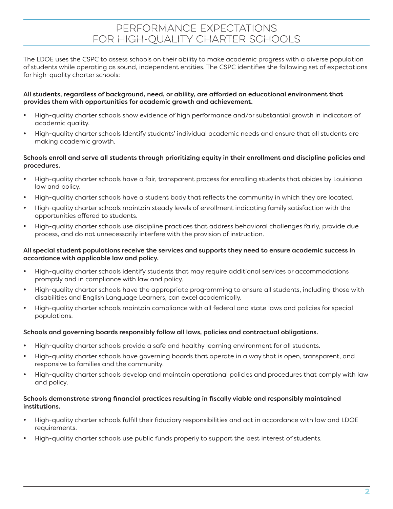## PERFORMANCE EXPECTATIONS FOR HIGH-QUALITY CHARTER SCHOOLS

The LDOE uses the CSPC to assess schools on their ability to make academic progress with a diverse population of students while operating as sound, independent entities. The CSPC identifies the following set of expectations for high-quality charter schools:

#### All students, regardless of background, need, or ability, are afforded an educational environment that provides them with opportunities for academic growth and achievement.

- High-quality charter schools show evidence of high performance and/or substantial growth in indicators of academic quality.
- High-quality charter schools Identify students' individual academic needs and ensure that all students are making academic growth.

#### Schools enroll and serve all students through prioritizing equity in their enrollment and discipline policies and procedures.

- • High-quality charter schools have a fair, transparent process for enrolling students that abides by Louisiana law and policy.
- High-quality charter schools have a student body that reflects the community in which they are located.
- High-quality charter schools maintain steady levels of enrollment indicating family satisfaction with the opportunities offered to students.
- High-quality charter schools use discipline practices that address behavioral challenges fairly, provide due process, and do not unnecessarily interfere with the provision of instruction.

#### All special student populations receive the services and supports they need to ensure academic success in accordance with applicable law and policy.

- High-quality charter schools identify students that may require additional services or accommodations promptly and in compliance with law and policy.
- High-quality charter schools have the appropriate programming to ensure all students, including those with disabilities and English Language Learners, can excel academically.
- High-quality charter schools maintain compliance with all federal and state laws and policies for special populations.

#### Schools and governing boards responsibly follow all laws, policies and contractual obligations.

- High-quality charter schools provide a safe and healthy learning environment for all students.
- High-quality charter schools have governing boards that operate in a way that is open, transparent, and responsive to families and the community.
- High-quality charter schools develop and maintain operational policies and procedures that comply with law and policy.

#### Schools demonstrate strong financial practices resulting in fiscally viable and responsibly maintained institutions.

- High-quality charter schools fulfill their fiduciary responsibilities and act in accordance with law and LDOE requirements.
- High-quality charter schools use public funds properly to support the best interest of students.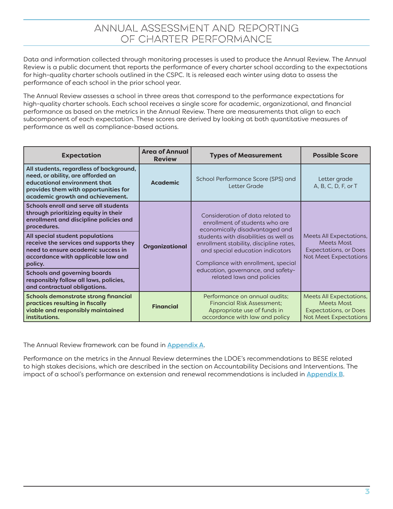Data and information collected through monitoring processes is used to produce the Annual Review. The Annual Review is a public document that reports the performance of every charter school according to the expectations for high-quality charter schools outlined in the CSPC. It is released each winter using data to assess the performance of each school in the prior school year.

The Annual Review assesses a school in three areas that correspond to the performance expectations for high-quality charter schools. Each school receives a single score for academic, organizational, and financial performance as based on the metrics in the Annual Review. There are measurements that align to each subcomponent of each expectation. These scores are derived by looking at both quantitative measures of performance as well as compliance-based actions.

| <b>Expectation</b>                                                                                                                                                                       | <b>Area of Annual</b><br><b>Types of Measurement</b><br><b>Review</b> |                                                                                                                                                             | <b>Possible Score</b>                                                                                 |  |
|------------------------------------------------------------------------------------------------------------------------------------------------------------------------------------------|-----------------------------------------------------------------------|-------------------------------------------------------------------------------------------------------------------------------------------------------------|-------------------------------------------------------------------------------------------------------|--|
| All students, regardless of background,<br>need, or ability, are afforded an<br>educational environment that<br>provides them with opportunities for<br>academic growth and achievement. | <b>Academic</b>                                                       | School Performance Score (SPS) and<br>Letter Grade                                                                                                          | Letter grade<br>A, B, C, D, F, or T                                                                   |  |
| Schools enroll and serve all students<br>through prioritizing equity in their<br>enrollment and discipline policies and<br>procedures.                                                   |                                                                       | Consideration of data related to<br>enrollment of students who are<br>economically disadvantaged and                                                        |                                                                                                       |  |
| All special student populations<br>receive the services and supports they<br>need to ensure academic success in<br>accordance with applicable law and<br>policy.                         | Organizational                                                        | students with disabilities as well as<br>enrollment stability, discipline rates,<br>and special education indicators<br>Compliance with enrollment, special | Meets All Expectations,<br>Meets Most<br><b>Expectations, or Does</b><br>Not Meet Expectations        |  |
| <b>Schools and governing boards</b><br>responsibly follow all laws, policies,<br>and contractual obligations.                                                                            |                                                                       | education, governance, and safety-<br>related laws and policies                                                                                             |                                                                                                       |  |
| Schools demonstrate strong financial<br>practices resulting in fiscally<br>viable and responsibly maintained<br>institutions.                                                            | <b>Financial</b>                                                      | Performance on annual audits;<br><b>Financial Risk Assessment;</b><br>Appropriate use of funds in<br>accordance with law and policy                         | Meets All Expectations,<br>Meets Most<br><b>Expectations, or Does</b><br><b>Not Meet Expectations</b> |  |

The Annual Review framework can be found in **Appendix A.** 

Performance on the metrics in the Annual Review determines the LDOE's recommendations to BESE related to high stakes decisions, which are described in the section on Accountability Decisions and Interventions. The impact of a school's performance on extension and renewal recommendations is included in Appendix B.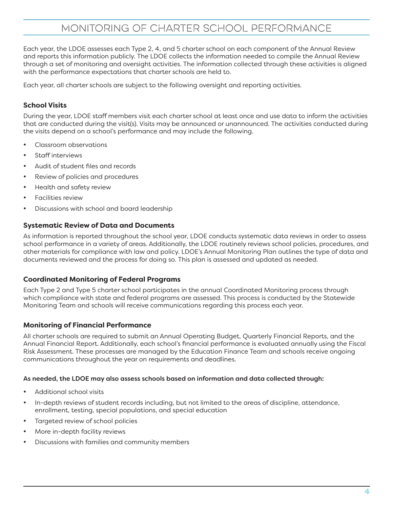# MONITORING OF CHARTER SCHOOL PERFORMANCE

Each year, the LDOE assesses each Type 2, 4, and 5 charter school on each component of the Annual Review and reports this information publicly. The LDOE collects the information needed to compile the Annual Review through a set of monitoring and oversight activities. The information collected through these activities is aligned with the performance expectations that charter schools are held to.

Each year, all charter schools are subject to the following oversight and reporting activities.

#### **School Visits**

During the year, LDOE staff members visit each charter school at least once and use data to inform the activities that are conducted during the visit(s). Visits may be announced or unannounced. The activities conducted during the visits depend on a school's performance and may include the following.

- Classroom observations
- Staff interviews
- Audit of student files and records
- Review of policies and procedures
- Health and safety review
- Facilities review
- Discussions with school and board leadership

#### **Systematic Review of Data and Documents**

As information is reported throughout the school year, LDOE conducts systematic data reviews in order to assess school performance in a variety of areas. Additionally, the LDOE routinely reviews school policies, procedures, and other materials for compliance with law and policy. LDOE's Annual Monitoring Plan outlines the type of data and documents reviewed and the process for doing so. This plan is assessed and updated as needed.

#### **Coordinated Monitoring of Federal Programs**

Each Type 2 and Type 5 charter school participates in the annual Coordinated Monitoring process through which compliance with state and federal programs are assessed. This process is conducted by the Statewide Monitoring Team and schools will receive communications regarding this process each year.

#### **Monitoring of Financial Performance**

All charter schools are required to submit an Annual Operating Budget, Quarterly Financial Reports, and the Annual Financial Report. Additionally, each school's financial performance is evaluated annually using the Fiscal Risk Assessment. These processes are managed by the Education Finance Team and schools receive ongoing communications throughout the year on requirements and deadlines.

#### As needed, the LDOE may also assess schools based on information and data collected through:

- Additional school visits
- In-depth reviews of student records including, but not limited to the areas of discipline, attendance, enrollment, testing, special populations, and special education
- Targeted review of school policies
- More in-depth facility reviews
- Discussions with families and community members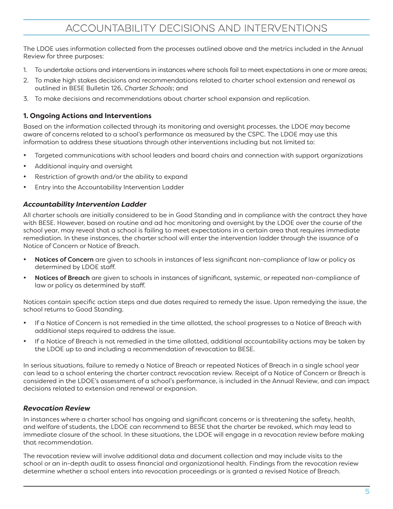The LDOE uses information collected from the processes outlined above and the metrics included in the Annual Review for three purposes:

- 1. To undertake actions and interventions in instances where schools fail to meet expectations in one or more areas;
- 2. To make high stakes decisions and recommendations related to charter school extension and renewal as outlined in BESE Bulletin 126, *Charter Schools*; and
- 3. To make decisions and recommendations about charter school expansion and replication.

#### **1. Ongoing Actions and Interventions**

Based on the information collected through its monitoring and oversight processes, the LDOE may become aware of concerns related to a school's performance as measured by the CSPC. The LDOE may use this information to address these situations through other interventions including but not limited to:

- Targeted communications with school leaders and board chairs and connection with support organizations
- Additional inquiry and oversight
- Restriction of growth and/or the ability to expand
- Entry into the Accountability Intervention Ladder

#### *Accountability Intervention Ladder*

All charter schools are initially considered to be in Good Standing and in compliance with the contract they have with BESE. However, based on routine and ad hoc monitoring and oversight by the LDOE over the course of the school year, may reveal that a school is failing to meet expectations in a certain area that requires immediate remediation. In these instances, the charter school will enter the intervention ladder through the issuance of a Notice of Concern or Notice of Breach.

- Notices of Concern are given to schools in instances of less significant non-compliance of law or policy as determined by LDOE staff.
- Notices of Breach are given to schools in instances of significant, systemic, or repeated non-compliance of law or policy as determined by staff.

Notices contain specific action steps and due dates required to remedy the issue. Upon remedying the issue, the school returns to Good Standing.

- • If a Notice of Concern is not remedied in the time allotted, the school progresses to a Notice of Breach with additional steps required to address the issue.
- If a Notice of Breach is not remedied in the time allotted, additional accountability actions may be taken by the LDOE up to and including a recommendation of revocation to BESE.

In serious situations, failure to remedy a Notice of Breach or repeated Notices of Breach in a single school year can lead to a school entering the charter contract revocation review. Receipt of a Notice of Concern or Breach is considered in the LDOE's assessment of a school's performance, is included in the Annual Review, and can impact decisions related to extension and renewal or expansion.

#### *Revocation Review*

In instances where a charter school has ongoing and significant concerns or is threatening the safety, health, and welfare of students, the LDOE can recommend to BESE that the charter be revoked, which may lead to immediate closure of the school. In these situations, the LDOE will engage in a revocation review before making that recommendation.

The revocation review will involve additional data and document collection and may include visits to the school or an in-depth audit to assess financial and organizational health. Findings from the revocation review determine whether a school enters into revocation proceedings or is granted a revised Notice of Breach.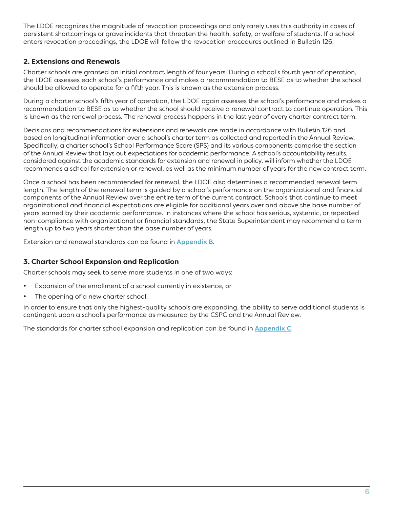The LDOE recognizes the magnitude of revocation proceedings and only rarely uses this authority in cases of persistent shortcomings or grave incidents that threaten the health, safety, or welfare of students. If a school enters revocation proceedings, the LDOE will follow the revocation procedures outlined in Bulletin 126.

#### **2. Extensions and Renewals**

Charter schools are granted an initial contract length of four years. During a school's fourth year of operation, the LDOE assesses each school's performance and makes a recommendation to BESE as to whether the school should be allowed to operate for a fifth year. This is known as the extension process.

During a charter school's fifth year of operation, the LDOE again assesses the school's performance and makes a recommendation to BESE as to whether the school should receive a renewal contract to continue operation. This is known as the renewal process. The renewal process happens in the last year of every charter contract term.

Decisions and recommendations for extensions and renewals are made in accordance with Bulletin 126 and based on longitudinal information over a school's charter term as collected and reported in the Annual Review. Specifically, a charter school's School Performance Score (SPS) and its various components comprise the section of the Annual Review that lays out expectations for academic performance. A school's accountability results, considered against the academic standards for extension and renewal in policy, will inform whether the LDOE recommends a school for extension or renewal, as well as the minimum number of years for the new contract term.

Once a school has been recommended for renewal, the LDOE also determines a recommended renewal term length. The length of the renewal term is guided by a school's performance on the organizational and financial components of the Annual Review over the entire term of the current contract. Schools that continue to meet organizational and financial expectations are eligible for additional years over and above the base number of years earned by their academic performance. In instances where the school has serious, systemic, or repeated non-compliance with organizational or financial standards, the State Superintendent may recommend a term length up to two years shorter than the base number of years.

Extension and renewal standards can be found in **Appendix B.** 

#### **3. Charter School Expansion and Replication**

Charter schools may seek to serve more students in one of two ways:

- • Expansion of the enrollment of a school currently in existence, or
- The opening of a new charter school.

In order to ensure that only the highest-quality schools are expanding, the ability to serve additional students is contingent upon a school's performance as measured by the CSPC and the Annual Review.

The standards for charter school expansion and replication can be found in Appendix C.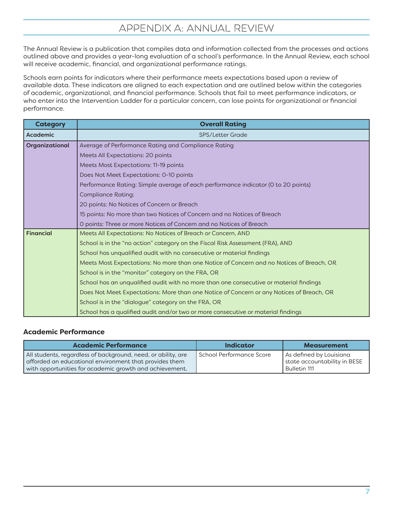# APPENDIX A: ANNUAL REVIEW

The Annual Review is a publication that compiles data and information collected from the processes and actions outlined above and provides a year-long evaluation of a school's performance. In the Annual Review, each school will receive academic, financial, and organizational performance ratings.

Schools earn points for indicators where their performance meets expectations based upon a review of available data. These indicators are aligned to each expectation and are outlined below within the categories of academic, organizational, and financial performance. Schools that fail to meet performance indicators, or who enter into the Intervention Ladder for a particular concern, can lose points for organizational or financial performance.

| <b>Category</b>  | <b>Overall Rating</b>                                                                    |  |  |  |  |
|------------------|------------------------------------------------------------------------------------------|--|--|--|--|
| Academic         | SPS/Letter Grade                                                                         |  |  |  |  |
| Organizational   | Average of Performance Rating and Compliance Rating                                      |  |  |  |  |
|                  | Meets All Expectations: 20 points                                                        |  |  |  |  |
|                  | Meets Most Expectations: 11-19 points                                                    |  |  |  |  |
|                  | Does Not Meet Expectations: 0-10 points                                                  |  |  |  |  |
|                  | Performance Rating: Simple average of each performance indicator (0 to 20 points)        |  |  |  |  |
|                  | <b>Compliance Rating:</b>                                                                |  |  |  |  |
|                  | 20 points: No Notices of Concern or Breach                                               |  |  |  |  |
|                  | 15 points: No more than two Notices of Concern and no Notices of Breach                  |  |  |  |  |
|                  | O points: Three or more Notices of Concern and no Notices of Breach                      |  |  |  |  |
| <b>Financial</b> | Meets All Expectations: No Notices of Breach or Concern, AND                             |  |  |  |  |
|                  | School is in the "no action" category on the Fiscal Risk Assessment (FRA), AND           |  |  |  |  |
|                  | School has unqualified audit with no consecutive or material findings                    |  |  |  |  |
|                  | Meets Most Expectations: No more than one Notice of Concern and no Notices of Breach, OR |  |  |  |  |
|                  | School is in the "monitor" category on the FRA, OR                                       |  |  |  |  |
|                  | School has an unqualified audit with no more than one consecutive or material findings   |  |  |  |  |
|                  | Does Not Meet Expectations: More than one Notice of Concern or any Notices of Breach, OR |  |  |  |  |
|                  | School is in the "dialogue" category on the FRA, OR                                      |  |  |  |  |
|                  | School has a qualified audit and/or two or more consecutive or material findings         |  |  |  |  |

#### **Academic Performance**

| <b>Academic Performance</b>                                                                                                                                                        | <b>Indicator</b>           | <b>Measurement</b>                                                      |
|------------------------------------------------------------------------------------------------------------------------------------------------------------------------------------|----------------------------|-------------------------------------------------------------------------|
| All students, regardless of background, need, or ability, are<br>afforded an educational environment that provides them<br>with opportunities for academic growth and achievement. | l School Performance Score | As defined by Louisiana<br>state accountability in BESE<br>Bulletin 111 |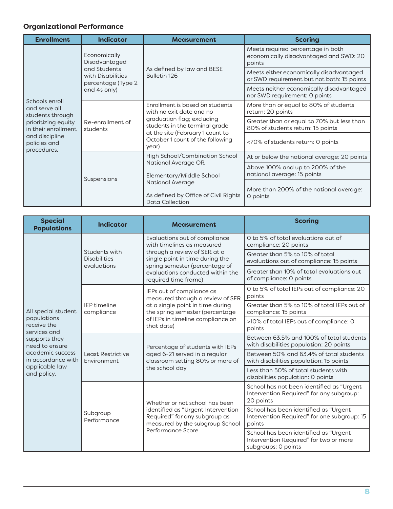### **Organizational Performance**

| <b>Enrollment</b>                                                                                                                                  | <b>Indicator</b>                                        | <b>Measurement</b>                                                                                                                                                                                           | <b>Scoring</b>                                                                        |
|----------------------------------------------------------------------------------------------------------------------------------------------------|---------------------------------------------------------|--------------------------------------------------------------------------------------------------------------------------------------------------------------------------------------------------------------|---------------------------------------------------------------------------------------|
|                                                                                                                                                    | Economically<br>Disadvantaged                           |                                                                                                                                                                                                              | Meets required percentage in both<br>economically disadvantaged and SWD: 20<br>points |
|                                                                                                                                                    | and Students<br>with Disabilities<br>percentage (Type 2 | As defined by law and BESE<br>Bulletin 126                                                                                                                                                                   | Meets either economically disadvantaged<br>or SWD requirement but not both: 15 points |
|                                                                                                                                                    | and 4s only)                                            |                                                                                                                                                                                                              | Meets neither economically disadvantaged<br>nor SWD requirement: O points             |
| Schools enroll<br>and serve all<br>students through<br>prioritizing equity<br>in their enrollment<br>and discipline<br>policies and<br>procedures. | Re-enrollment of<br>students                            | Enrollment is based on students<br>with no exit date and no<br>graduation flag; excluding<br>students in the terminal grade<br>at the site (February 1 count to<br>October 1 count of the following<br>year) | More than or equal to 80% of students<br>return: 20 points                            |
|                                                                                                                                                    |                                                         |                                                                                                                                                                                                              | Greater than or equal to 70% but less than<br>80% of students return: 15 points       |
|                                                                                                                                                    |                                                         |                                                                                                                                                                                                              | <70% of students return: 0 points                                                     |
|                                                                                                                                                    | Suspensions                                             | High School/Combination School<br>National Average OR<br>Elementary/Middle School<br><b>National Average</b><br>As defined by Office of Civil Rights<br><b>Data Collection</b>                               | At or below the national average: 20 points                                           |
|                                                                                                                                                    |                                                         |                                                                                                                                                                                                              | Above 100% and up to 200% of the<br>national average: 15 points                       |
|                                                                                                                                                    |                                                         |                                                                                                                                                                                                              | More than 200% of the national average:<br>0 points                                   |

| <b>Special</b><br><b>Populations</b>                              | <b>Indicator</b>                                            | <b>Measurement</b>                                                                                                                                                                      | <b>Scoring</b>                                                                                         |
|-------------------------------------------------------------------|-------------------------------------------------------------|-----------------------------------------------------------------------------------------------------------------------------------------------------------------------------------------|--------------------------------------------------------------------------------------------------------|
|                                                                   | Students with<br><b>Disabilities</b><br>evaluations         | Evaluations out of compliance<br>with timelines as measured<br>through a review of SER at a<br>single point in time during the                                                          | 0 to 5% of total evaluations out of<br>compliance: 20 points                                           |
|                                                                   |                                                             |                                                                                                                                                                                         | Greater than 5% to 10% of total<br>evaluations out of compliance: 15 points                            |
|                                                                   |                                                             | spring semester (percentage of<br>evaluations conducted within the<br>required time frame)                                                                                              | Greater than 10% of total evaluations out<br>of compliance: 0 points                                   |
|                                                                   |                                                             | IEPs out of compliance as<br>measured through a review of SER<br>at a single point in time during<br>the spring semester (percentage<br>of IEPs in timeline compliance on<br>that date) | O to 5% of total IEPs out of compliance: 20<br>points                                                  |
| All special student<br>populations<br>receive the<br>services and | <b>IEP</b> timeline<br>compliance                           |                                                                                                                                                                                         | Greater than 5% to 10% of total IEPs out of<br>compliance: 15 points                                   |
|                                                                   |                                                             |                                                                                                                                                                                         | >10% of total IEPs out of compliance: 0<br>points                                                      |
| supports they<br>need to ensure                                   | Least Restrictive<br>Environment<br>Subgroup<br>Performance | Percentage of students with IEPs<br>aged 6-21 served in a regular<br>classroom setting 80% or more of<br>the school day                                                                 | Between 63.5% and 100% of total students<br>with disabilities population: 20 points                    |
| academic success<br>in accordance with                            |                                                             |                                                                                                                                                                                         | Between 50% and 63.4% of total students<br>with disabilities population: 15 points                     |
| applicable law<br>and policy.                                     |                                                             |                                                                                                                                                                                         | Less than 50% of total students with<br>disabilities population: 0 points                              |
|                                                                   |                                                             | Whether or not school has been<br>identified as "Urgent Intervention<br>Required" for any subgroup as<br>measured by the subgroup School                                                | School has not been identified as "Urgent<br>Intervention Required" for any subgroup:<br>20 points     |
|                                                                   |                                                             |                                                                                                                                                                                         | School has been identified as "Urgent<br>Intervention Required" for one subgroup: 15<br>points         |
|                                                                   |                                                             | Performance Score                                                                                                                                                                       | School has been identified as "Urgent<br>Intervention Required" for two or more<br>subgroups: 0 points |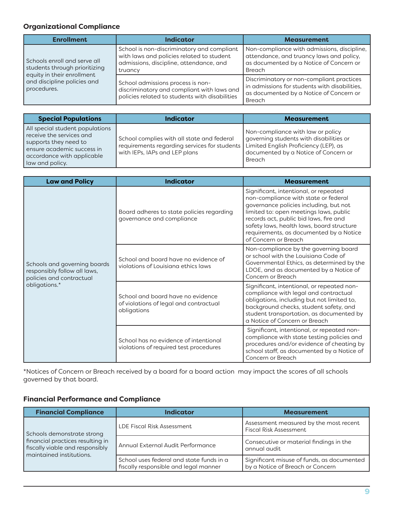#### **Organizational Compliance**

| <b>Enrollment</b>                                                                                                                         | <b>Indicator</b>                                                                                                                              | <b>Measurement</b>                                                                                                                                     |
|-------------------------------------------------------------------------------------------------------------------------------------------|-----------------------------------------------------------------------------------------------------------------------------------------------|--------------------------------------------------------------------------------------------------------------------------------------------------------|
| Schools enroll and serve all<br>students through prioritizing<br>equity in their enrollment<br>and discipline policies and<br>procedures. | School is non-discriminatory and compliant<br>with laws and policies related to student<br>admissions, discipline, attendance, and<br>truancy | Non-compliance with admissions, discipline,<br>attendance, and truancy laws and policy,<br>as documented by a Notice of Concern or<br><b>Breach</b>    |
|                                                                                                                                           | School admissions process is non-<br>discriminatory and compliant with laws and<br>policies related to students with disabilities             | Discriminatory or non-compliant practices<br>in admissions for students with disabilities,<br>as documented by a Notice of Concern or<br><b>Breach</b> |

| <b>Special Populations</b>                                                                                                                                          | <b>Indicator</b>                                                                                                                                                  | <b>Measurement</b>                                                                                                                    |
|---------------------------------------------------------------------------------------------------------------------------------------------------------------------|-------------------------------------------------------------------------------------------------------------------------------------------------------------------|---------------------------------------------------------------------------------------------------------------------------------------|
| All special student populations<br>receive the services and<br>supports they need to<br>ensure academic success in<br>accordance with applicable<br>law and policy. | School complies with all state and federal<br>requirements regarding services for students Limited English Proficiency (LEP), as<br>with IEPs, IAPs and LEP plans | Non-compliance with law or policy<br>governing students with disabilities or<br>documented by a Notice of Concern or<br><b>Breach</b> |

| <b>Law and Policy</b>                                                                                     | <b>Indicator</b>                                                                           | <b>Measurement</b>                                                                                                                                                                                                                                                                                                          |
|-----------------------------------------------------------------------------------------------------------|--------------------------------------------------------------------------------------------|-----------------------------------------------------------------------------------------------------------------------------------------------------------------------------------------------------------------------------------------------------------------------------------------------------------------------------|
| Schools and governing boards<br>responsibly follow all laws,<br>policies and contractual<br>obligations.* | Board adheres to state policies regarding<br>governance and compliance                     | Significant, intentional, or repeated<br>non-compliance with state or federal<br>governance policies including, but not<br>limited to: open meetings laws, public<br>records act, public bid laws, fire and<br>safety laws, health laws, board structure<br>requirements, as documented by a Notice<br>of Concern or Breach |
|                                                                                                           | School and board have no evidence of<br>violations of Louisiana ethics laws                | Non-compliance by the governing board<br>or school with the Louisiana Code of<br>Governmental Ethics, as determined by the<br>LDOE, and as documented by a Notice of<br>Concern or Breach                                                                                                                                   |
|                                                                                                           | School and board have no evidence<br>of violations of legal and contractual<br>obligations | Significant, intentional, or repeated non-<br>compliance with legal and contractual<br>obligations, including but not limited to,<br>background checks, student safety, and<br>student transportation, as documented by<br>a Notice of Concern or Breach                                                                    |
|                                                                                                           | School has no evidence of intentional<br>violations of required test procedures            | Significant, intentional, or repeated non-<br>compliance with state testing policies and<br>procedures and/or evidence of cheating by<br>school staff, as documented by a Notice of<br>Concern or Breach                                                                                                                    |

\*Notices of Concern or Breach received by a board for a board action may impact the scores of all schools governed by that board.

#### **Financial Performance and Compliance**

| <b>Financial Compliance</b>                                                                     | Indicator                                                                         | <b>Measurement</b>                                                             |  |
|-------------------------------------------------------------------------------------------------|-----------------------------------------------------------------------------------|--------------------------------------------------------------------------------|--|
| Schools demonstrate strong                                                                      | LDE Fiscal Risk Assessment                                                        | Assessment measured by the most recent<br><b>Fiscal Risk Assessment</b>        |  |
| financial practices resulting in<br>fiscally viable and responsibly<br>maintained institutions. | Annual External Audit Performance                                                 | Consecutive or material findings in the<br>annual audit                        |  |
|                                                                                                 | School uses federal and state funds in a<br>fiscally responsible and legal manner | Significant misuse of funds, as documented<br>by a Notice of Breach or Concern |  |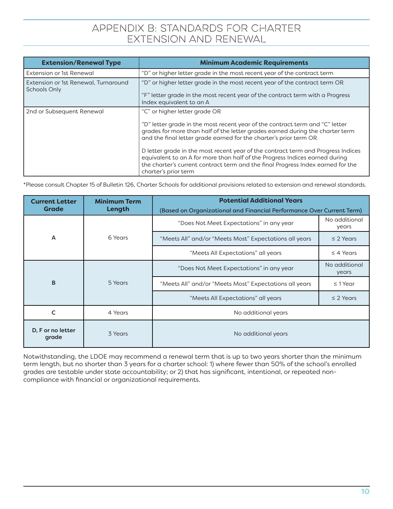## APPENDIX B: STANDARDS FOR CHARTER EXTENSION AND RENEWAL

| <b>Extension/Renewal Type</b>                               | <b>Minimum Academic Requirements</b>                                                                                                                                                                                                                                                                                                                                                                                                                                                                                                              |
|-------------------------------------------------------------|---------------------------------------------------------------------------------------------------------------------------------------------------------------------------------------------------------------------------------------------------------------------------------------------------------------------------------------------------------------------------------------------------------------------------------------------------------------------------------------------------------------------------------------------------|
| Extension or 1st Renewal                                    | "D" or higher letter grade in the most recent year of the contract term                                                                                                                                                                                                                                                                                                                                                                                                                                                                           |
| Extension or 1st Renewal, Turnaround<br><b>Schools Only</b> | "D" or higher letter grade in the most recent year of the contract term OR<br>"F" letter grade in the most recent year of the contract term with a Progress<br>Index equivalent to an A                                                                                                                                                                                                                                                                                                                                                           |
| 2nd or Subsequent Renewal                                   | "C" or higher letter grade OR<br>"D" letter grade in the most recent year of the contract term and "C" letter<br>grades for more than half of the letter grades earned during the charter term<br>and the final letter grade earned for the charter's prior term OR<br>D letter grade in the most recent year of the contract term and Progress Indices<br>equivalent to an A for more than half of the Progress Indices earned during<br>the charter's current contract term and the final Progress Index earned for the<br>charter's prior term |

\*Please consult Chapter 15 of Bulletin 126, Charter Schools for additional provisions related to extension and renewal standards.

| <b>Current Letter</b>      | <b>Minimum Term</b> | <b>Potential Additional Years</b><br>(Based on Organizational and Financial Performance Over Current Term) |                        |
|----------------------------|---------------------|------------------------------------------------------------------------------------------------------------|------------------------|
| <b>Grade</b>               | Length              |                                                                                                            |                        |
|                            |                     | "Does Not Meet Expectations" in any year                                                                   | No additional<br>years |
| A                          | 6 Years             | "Meets All" and/or "Meets Most" Expectations all years                                                     | $\leq$ 2 Years         |
|                            |                     | "Meets All Expectations" all years                                                                         | $\leq$ 4 Years         |
|                            |                     | "Does Not Meet Expectations" in any year                                                                   | No additional<br>years |
| B                          | 5 Years             | "Meets All" and/or "Meets Most" Expectations all years                                                     | $\leq$ 1 Year          |
|                            |                     | "Meets All Expectations" all years                                                                         | $\leq$ 2 Years         |
| C                          | 4 Years             | No additional years                                                                                        |                        |
| D, F or no letter<br>grade | 3 Years             | No additional years                                                                                        |                        |

Notwithstanding, the LDOE may recommend a renewal term that is up to two years shorter than the minimum term length, but no shorter than 3 years for a charter school: 1) where fewer than 50% of the school's enrolled grades are testable under state accountability; or 2) that has significant, intentional, or repeated noncompliance with financial or organizational requirements.